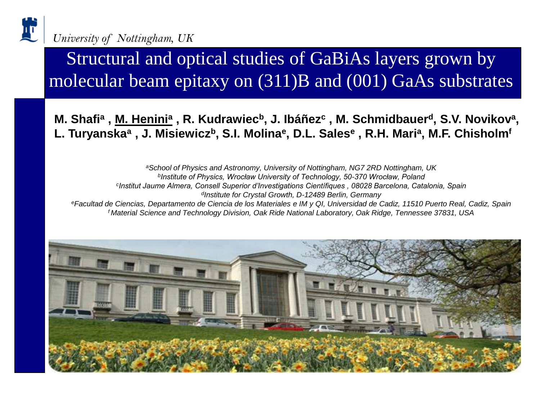

Structural and optical studies of GaBiAs layers grown by molecular beam epitaxy on (311)B and (001) GaAs substrates

**M. Shafi<sup>a</sup>, <u>M. Henini<sup>a</sup></u>, R. Kudrawiec<sup>b</sup>, J. Ibáñez<sup>c</sup>, M. Schmidbauer<sup>d</sup>, S.V. Novikov<sup>a</sup>, L. Turyanska<sup>a</sup> , J. Misiewicz<sup>b</sup>, S.I. Molina<sup>e</sup> , D.L. Sales<sup>e</sup> , R.H. Mari<sup>a</sup> , M.F. Chisholm<sup>f</sup>**

*<sup>a</sup>School of Physics and Astronomy, University of Nottingham, NG7 2RD Nottingham, UK b Institute of Physics, Wrocław University of Technology, 50-370 Wrocław, Poland c Institut Jaume Almera, Consell Superior d'Investigations Científiques , 08028 Barcelona, Catalonia, Spain d Institute for Crystal Growth, D-12489 Berlin, Germany <sup>e</sup>Facultad de Ciencias, Departamento de Ciencia de los Materiales e IM y QI, Universidad de Cadiz, 11510 Puerto Real, Cadiz, Spain f Material Science and Technology Division, Oak Ride National Laboratory, Oak Ridge, Tennessee 37831, USA*

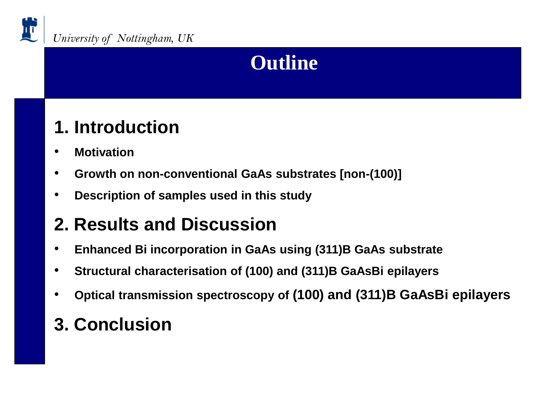

### **Outline**

#### **1. Introduction**

- **Motivation**
- **Growth on non-conventional GaAs substrates [non-(100)]**
- **Description of samples used in this study**

#### **2. Results and Discussion**

- **Enhanced Bi incorporation in GaAs using (311)B GaAs substrate**
- **Structural characterisation of (100) and (311)B GaAsBi epilayers**
- **Optical transmission spectroscopy of (100) and (311)B GaAsBi epilayers**

#### **3. Conclusion**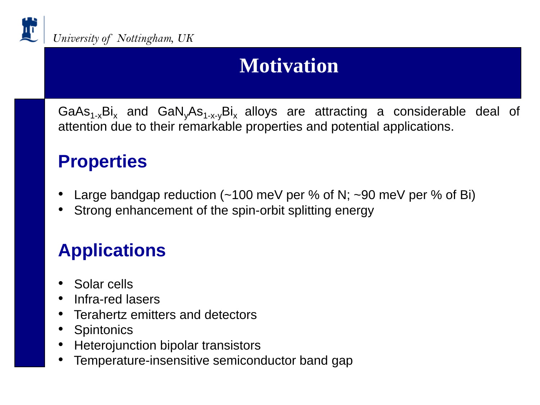

# **Motivation**

GaAs<sub>1-x</sub>Bi<sub>x</sub> and GaN<sub>v</sub>As<sub>1-x-v</sub>Bi<sub>x</sub> alloys are attracting a considerable deal of attention due to their remarkable properties and potential applications.

#### **Properties**

- Large bandgap reduction ( $~100$  meV per % of N;  $~100$  meV per % of Bi)
- Strong enhancement of the spin-orbit splitting energy

### **Applications**

- Solar cells
- Infra-red lasers
- Terahertz emitters and detectors
- **Spintonics**
- Heterojunction bipolar transistors
- Temperature-insensitive semiconductor band gap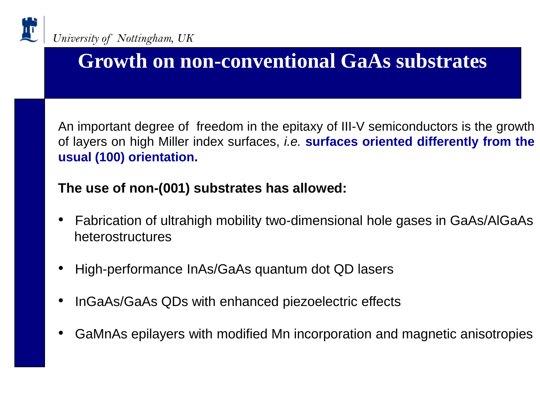

## **Growth on non-conventional GaAs substrates**

An important degree of freedom in the epitaxy of III-V semiconductors is the growth of layers on high Miller index surfaces, *i.e.* **surfaces oriented differently from the usual (100) orientation.**

#### **The use of non-(001) substrates has allowed:**

- Fabrication of ultrahigh mobility two-dimensional hole gases in GaAs/AlGaAs heterostructures
- High-performance InAs/GaAs quantum dot QD lasers
- InGaAs/GaAs QDs with enhanced piezoelectric effects
- GaMnAs epilayers with modified Mn incorporation and magnetic anisotropies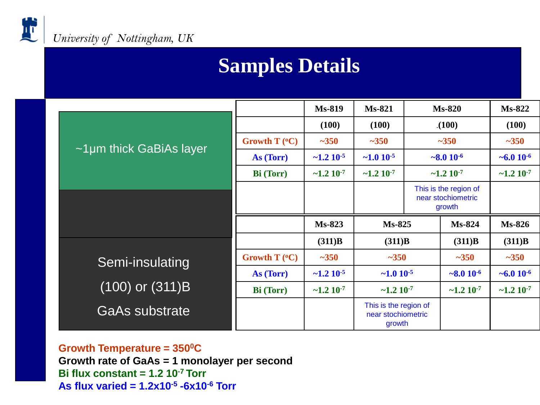

#### **Samples Details**

|                               |                        | <b>Ms-819</b>               | <b>Ms-821</b>               | $Ms-820$           |                                                       | $Ms-822$                    |
|-------------------------------|------------------------|-----------------------------|-----------------------------|--------------------|-------------------------------------------------------|-----------------------------|
| $\sim$ 1µm thick GaBiAs layer |                        | (100)                       | (100)                       | (100)              |                                                       | (100)                       |
|                               | Growth $T (^{\circ}C)$ | $-350$                      | $-350$                      | $-350$             |                                                       | $-350$                      |
|                               | As (Torr)              | $\sim$ 1.2 10 <sup>-5</sup> | $\sim 1.0 10^{-5}$          | $\sim 8.0 10^{-6}$ |                                                       | $~10^{-6}$                  |
|                               | <b>Bi</b> (Torr)       | $\sim$ 1.2 10 <sup>-7</sup> | $\sim$ 1.2 10 <sup>-7</sup> | $~1.2~10^{-7}$     |                                                       | $\sim$ 1.2 10 <sup>-7</sup> |
|                               |                        |                             |                             |                    | This is the region of<br>near stochiometric<br>growth |                             |
|                               |                        | $Ms-823$                    | $Ms-825$                    |                    | Ms-824                                                |                             |
|                               |                        |                             |                             |                    |                                                       | $Ms-826$                    |
|                               |                        | (311)B                      | (311)B                      |                    | (311)B                                                | (311)B                      |
|                               | Growth $T (^{\circ}C)$ | $-350$                      | $-350$                      |                    | $~1 - 350$                                            | $-350$                      |
| Semi-insulating               | As (Torr)              | $\sim$ 1.2 10 <sup>-5</sup> | $\sim 1.0 10^{-5}$          |                    | $\sim 8.0 10^{-6}$                                    | $~10^{-6}$                  |
| $(100)$ or $(311)B$           | <b>Bi</b> (Torr)       | $\sim$ 1.2 10 <sup>-7</sup> | $\sim$ 1.2 10 <sup>-7</sup> |                    | $\sim$ 1.2 10 <sup>-7</sup>                           | $\sim$ 1.2 10 <sup>-7</sup> |

**Growth Temperature = 350<sup>0</sup>C Growth rate of GaAs = 1 monolayer per second Bi flux constant = 1.2 10-7 Torr As flux varied = 1.2x10-5 -6x10-6 Torr**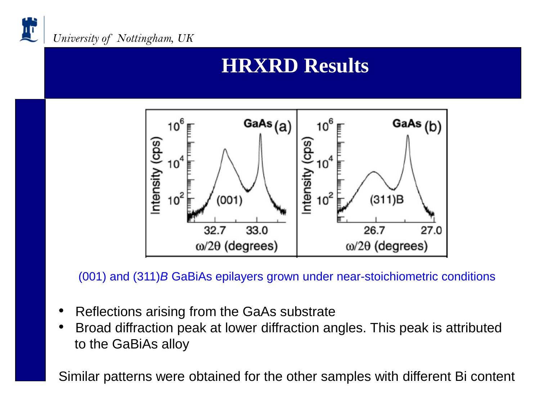

### **HRXRD Results**



(001) and (311)*B* GaBiAs epilayers grown under near-stoichiometric conditions

- Reflections arising from the GaAs substrate
- Broad diffraction peak at lower diffraction angles. This peak is attributed to the GaBiAs alloy

Similar patterns were obtained for the other samples with different Bi content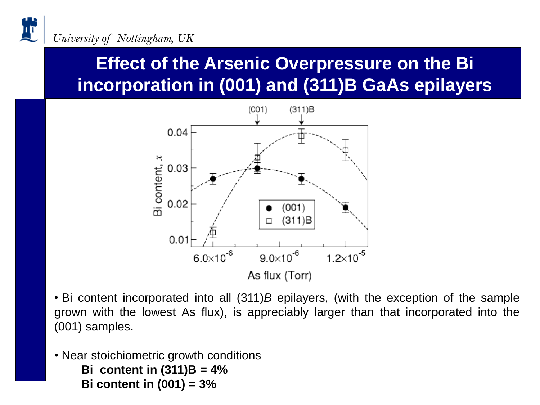#### **Effect of the Arsenic Overpressure on the Bi incorporation in (001) and (311)B GaAs epilayers**



• Bi content incorporated into all (311)*B* epilayers, (with the exception of the sample grown with the lowest As flux), is appreciably larger than that incorporated into the (001) samples.

• Near stoichiometric growth conditions **Bi content in (311)B = 4% Bi content in (001) = 3%**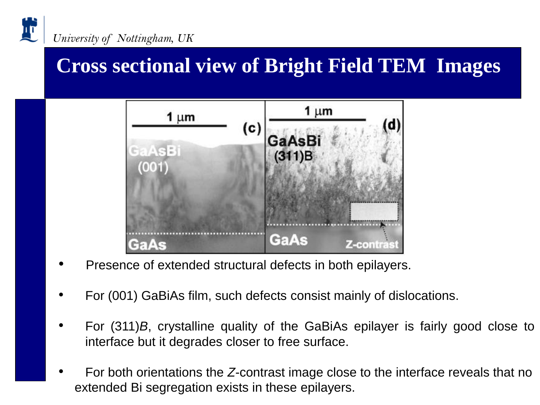

#### **Cross sectional view of Bright Field TEM Images**



- Presence of extended structural defects in both epilayers.
- For (001) GaBiAs film, such defects consist mainly of dislocations.
- For (311)*B*, crystalline quality of the GaBiAs epilayer is fairly good close to interface but it degrades closer to free surface.
- For both orientations the *Z*-contrast image close to the interface reveals that no extended Bi segregation exists in these epilayers.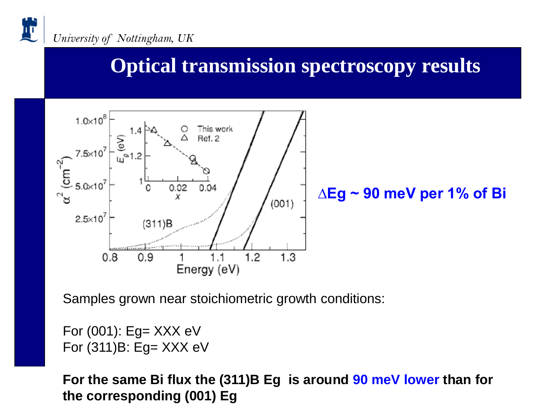

# **Optical transmission spectroscopy results**



Samples grown near stoichiometric growth conditions:

For  $(001)$ : Eg= XXX eV For (311)B: Eg= XXX eV

**For the same Bi flux the (311)B Eg is around 90 meV lower than for the corresponding (001) Eg**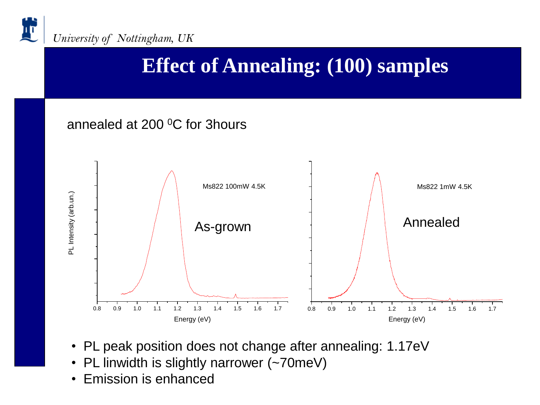

# **Effect of Annealing: (100) samples**

#### annealed at 200 <sup>o</sup>C for 3hours



- PL peak position does not change after annealing: 1.17eV
- PL linwidth is slightly narrower (~70meV)
- Emission is enhanced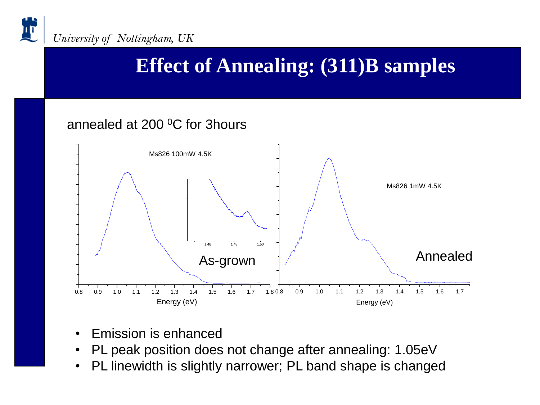

## **Effect of Annealing: (311)B samples**

#### annealed at 200 <sup>o</sup>C for 3hours



- Emission is enhanced
- PL peak position does not change after annealing: 1.05eV
- PL linewidth is slightly narrower; PL band shape is changed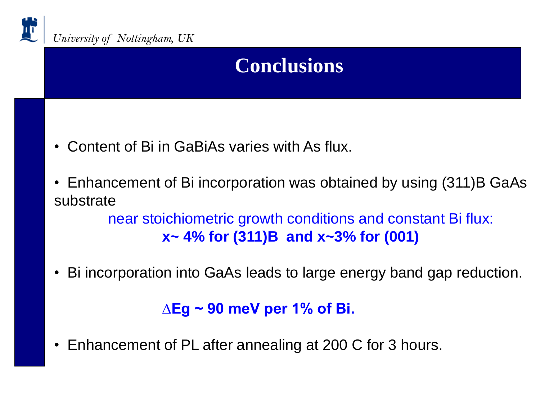

# **Conclusions**

- Content of Bi in GaBiAs varies with As flux.
- Enhancement of Bi incorporation was obtained by using (311)B GaAs substrate

near stoichiometric growth conditions and constant Bi flux: **x~ 4% for (311)B and x~3% for (001)**

• Bi incorporation into GaAs leads to large energy band gap reduction.

#### **∆Eg ~ 90 meV per 1% of Bi.**

• Enhancement of PL after annealing at 200 C for 3 hours.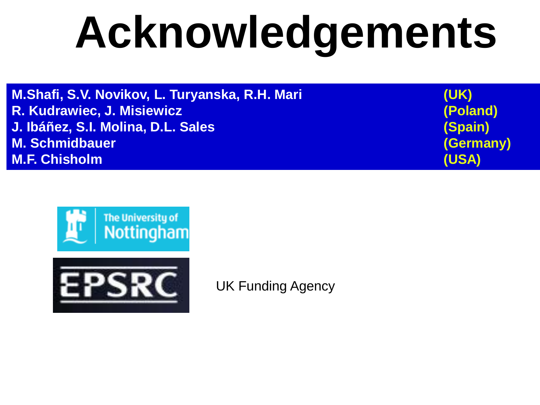# **Acknowledgements**

**M.Shafi, S.V. Novikov, L. Turyanska, R.H. Mari (UK) R. Kudrawiec, J. Misiewicz (Poland) J. Ibáñez, S.I. Molina, D.L. Sales (Spain) M. Schmidbauer (Germany) M.F. Chisholm (USA)**





UK Funding Agency